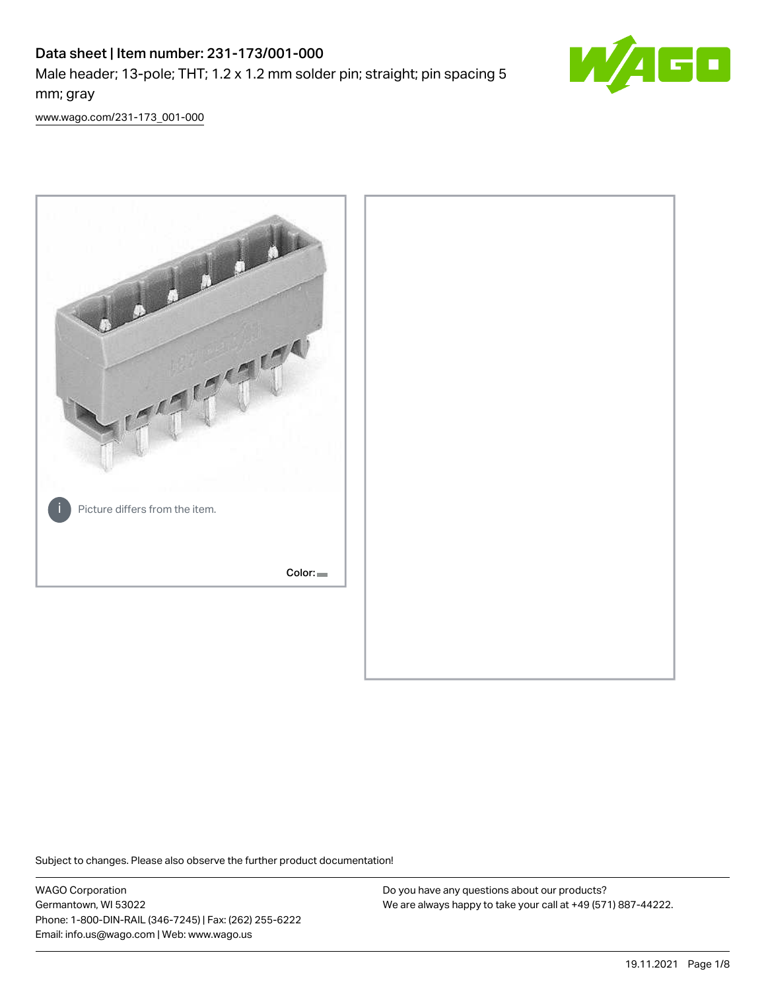# Data sheet | Item number: 231-173/001-000 Male header; 13-pole; THT; 1.2 x 1.2 mm solder pin; straight; pin spacing 5 mm; gray



[www.wago.com/231-173\\_001-000](http://www.wago.com/231-173_001-000)



Subject to changes. Please also observe the further product documentation!

WAGO Corporation Germantown, WI 53022 Phone: 1-800-DIN-RAIL (346-7245) | Fax: (262) 255-6222 Email: info.us@wago.com | Web: www.wago.us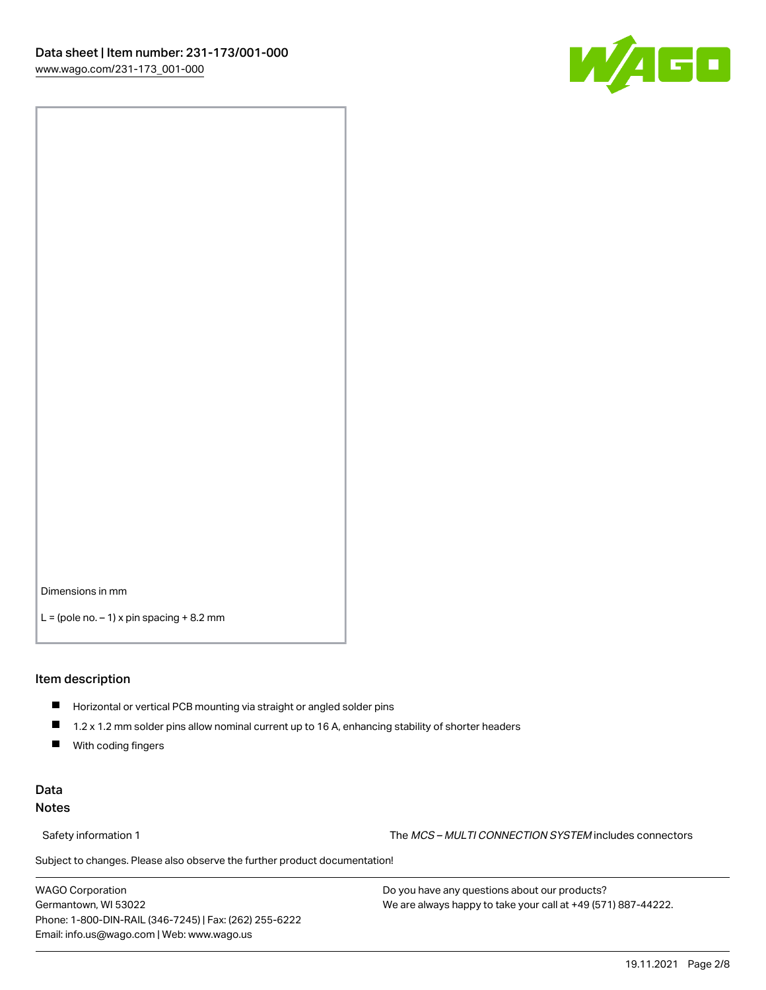

Dimensions in mm

 $L =$  (pole no.  $-1$ ) x pin spacing  $+8.2$  mm

#### Item description

- **Horizontal or vertical PCB mounting via straight or angled solder pins**
- 1.2 x 1.2 mm solder pins allow nominal current up to 16 A, enhancing stability of shorter headers
- $\blacksquare$ With coding fingers

#### Data Notes

Safety information 1 The MCS – MULTI CONNECTION SYSTEM includes connectors

Subject to changes. Please also observe the further product documentation!  $\nu$ 

WAGO Corporation Germantown, WI 53022 Phone: 1-800-DIN-RAIL (346-7245) | Fax: (262) 255-6222 Email: info.us@wago.com | Web: www.wago.us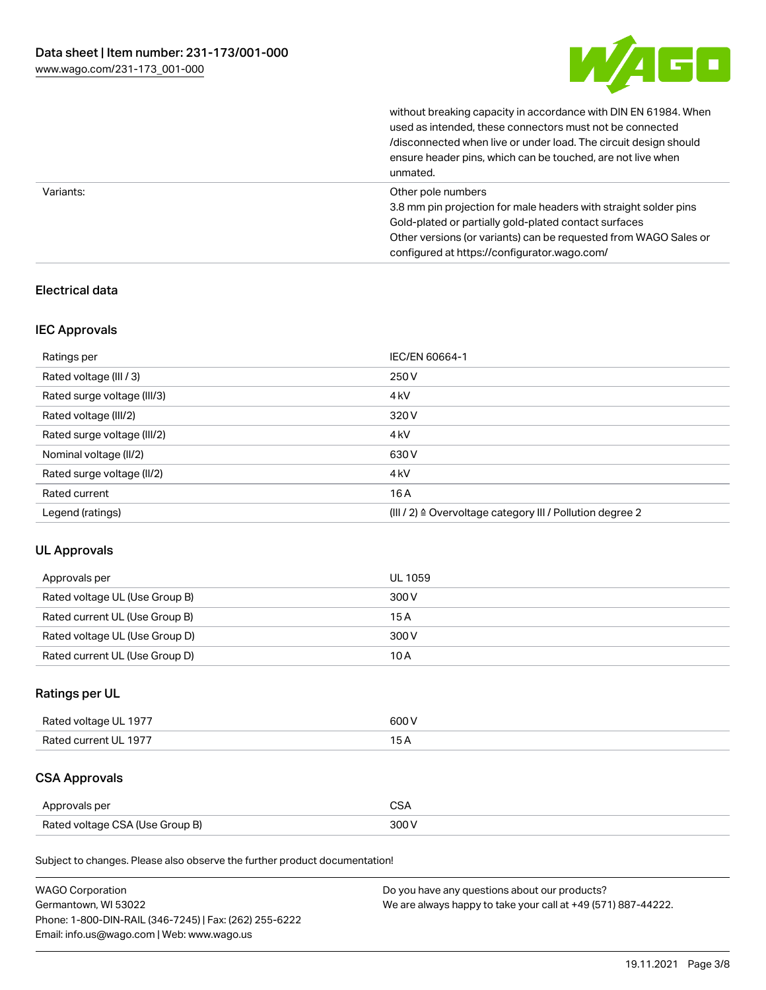

without breaking capacity in accordance with DIN EN 61984. When

|           | used as intended, these connectors must not be connected<br>/disconnected when live or under load. The circuit design should<br>ensure header pins, which can be touched, are not live when<br>unmated.                                                             |
|-----------|---------------------------------------------------------------------------------------------------------------------------------------------------------------------------------------------------------------------------------------------------------------------|
| Variants: | Other pole numbers<br>3.8 mm pin projection for male headers with straight solder pins<br>Gold-plated or partially gold-plated contact surfaces<br>Other versions (or variants) can be requested from WAGO Sales or<br>configured at https://configurator.wago.com/ |

## Electrical data

#### IEC Approvals

| Ratings per                 | IEC/EN 60664-1                                            |
|-----------------------------|-----------------------------------------------------------|
| Rated voltage (III / 3)     | 250 V                                                     |
| Rated surge voltage (III/3) | 4 <sub>k</sub> V                                          |
| Rated voltage (III/2)       | 320 V                                                     |
| Rated surge voltage (III/2) | 4 <sub>k</sub> V                                          |
| Nominal voltage (II/2)      | 630 V                                                     |
| Rated surge voltage (II/2)  | 4 <sub>k</sub> V                                          |
| Rated current               | 16A                                                       |
| Legend (ratings)            | (III / 2) ≙ Overvoltage category III / Pollution degree 2 |

#### UL Approvals

| Approvals per                  | UL 1059 |
|--------------------------------|---------|
| Rated voltage UL (Use Group B) | 300 V   |
| Rated current UL (Use Group B) | 15 A    |
| Rated voltage UL (Use Group D) | 300 V   |
| Rated current UL (Use Group D) | 10 A    |

## Ratings per UL

| Rated voltage UL 1977 | 600 V |
|-----------------------|-------|
| Rated current UL 1977 |       |

## CSA Approvals

| Approvals per                   | ~~    |
|---------------------------------|-------|
| Rated voltage CSA (Use Group B) | 3UU 1 |

Subject to changes. Please also observe the further product documentation!

| <b>WAGO Corporation</b>                                | Do you have any questions about our products?                 |
|--------------------------------------------------------|---------------------------------------------------------------|
| Germantown, WI 53022                                   | We are always happy to take your call at +49 (571) 887-44222. |
| Phone: 1-800-DIN-RAIL (346-7245)   Fax: (262) 255-6222 |                                                               |
| Email: info.us@wago.com   Web: www.wago.us             |                                                               |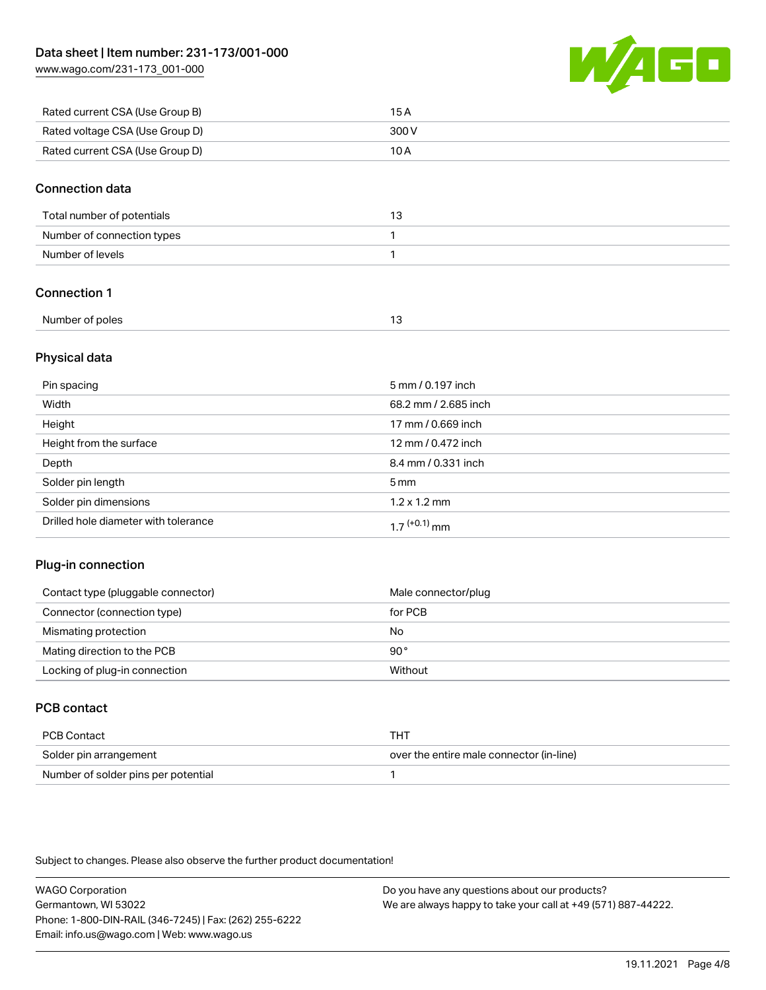[www.wago.com/231-173\\_001-000](http://www.wago.com/231-173_001-000)



| Rated current CSA (Use Group B) | 15 A  |
|---------------------------------|-------|
| Rated voltage CSA (Use Group D) | 300 V |
| Rated current CSA (Use Group D) | 10 A  |

#### Connection data

| Total number of potentials |  |
|----------------------------|--|
| Number of connection types |  |
| Number of levels           |  |

## Connection 1

| Number of poles |  |
|-----------------|--|
|                 |  |

#### Physical data

| Pin spacing                          | 5 mm / 0.197 inch           |
|--------------------------------------|-----------------------------|
| Width                                | 68.2 mm / 2.685 inch        |
| Height                               | 17 mm / 0.669 inch          |
| Height from the surface              | 12 mm / 0.472 inch          |
| Depth                                | 8.4 mm / 0.331 inch         |
| Solder pin length                    | $5 \,\mathrm{mm}$           |
| Solder pin dimensions                | $1.2 \times 1.2 \text{ mm}$ |
| Drilled hole diameter with tolerance | $17^{(+0.1)}$ mm            |

#### Plug-in connection

| Contact type (pluggable connector) | Male connector/plug |
|------------------------------------|---------------------|
| Connector (connection type)        | for PCB             |
| Mismating protection               | No                  |
| Mating direction to the PCB        | 90°                 |
| Locking of plug-in connection      | Without             |

#### PCB contact

| PCB Contact                         | тнт                                      |
|-------------------------------------|------------------------------------------|
| Solder pin arrangement              | over the entire male connector (in-line) |
| Number of solder pins per potential |                                          |

Subject to changes. Please also observe the further product documentation!

WAGO Corporation Germantown, WI 53022 Phone: 1-800-DIN-RAIL (346-7245) | Fax: (262) 255-6222 Email: info.us@wago.com | Web: www.wago.us Do you have any questions about our products? We are always happy to take your call at +49 (571) 887-44222.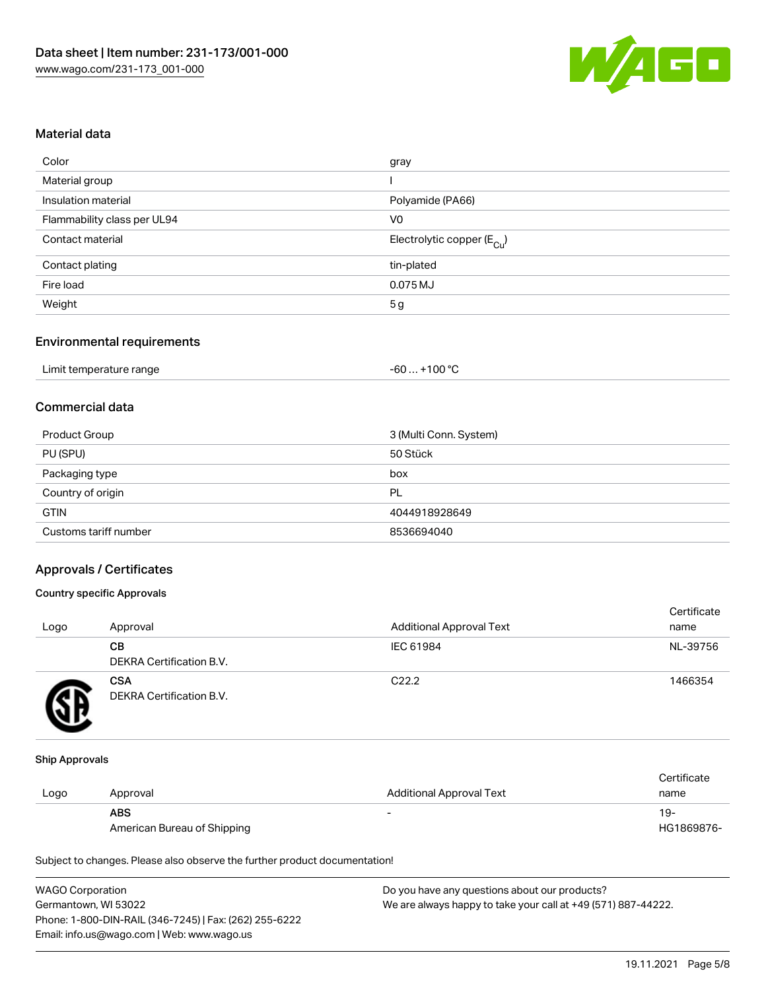

#### Material data

| gray                                   |
|----------------------------------------|
|                                        |
| Polyamide (PA66)                       |
| V <sub>0</sub>                         |
| Electrolytic copper (E <sub>Cu</sub> ) |
| tin-plated                             |
| $0.075$ MJ                             |
| 5 <sub>g</sub>                         |
|                                        |

#### Environmental requirements

| Limit temperature range | . +100 °C<br>-60 |
|-------------------------|------------------|
|-------------------------|------------------|

## Commercial data

| Product Group         | 3 (Multi Conn. System) |
|-----------------------|------------------------|
| PU (SPU)              | 50 Stück               |
| Packaging type        | box                    |
| Country of origin     | PL                     |
| <b>GTIN</b>           | 4044918928649          |
| Customs tariff number | 8536694040             |

#### Approvals / Certificates

#### Country specific Approvals

| Logo | Approval                               | <b>Additional Approval Text</b> | Certificate<br>name |
|------|----------------------------------------|---------------------------------|---------------------|
|      | CВ<br><b>DEKRA Certification B.V.</b>  | IEC 61984                       | NL-39756            |
|      | <b>CSA</b><br>DEKRA Certification B.V. | C <sub>22.2</sub>               | 1466354             |

#### Ship Approvals

|      |                             |                                 | Certificate |
|------|-----------------------------|---------------------------------|-------------|
| Logo | Approval                    | <b>Additional Approval Text</b> | name        |
|      | <b>ABS</b>                  | $\overline{\phantom{0}}$        | -19         |
|      | American Bureau of Shipping |                                 | HG1869876-  |

Subject to changes. Please also observe the further product documentation!

| <b>WAGO Corporation</b>                                | Do you have any questions about our products?                 |
|--------------------------------------------------------|---------------------------------------------------------------|
| Germantown, WI 53022                                   | We are always happy to take your call at +49 (571) 887-44222. |
| Phone: 1-800-DIN-RAIL (346-7245)   Fax: (262) 255-6222 |                                                               |
| Email: info.us@wago.com   Web: www.wago.us             |                                                               |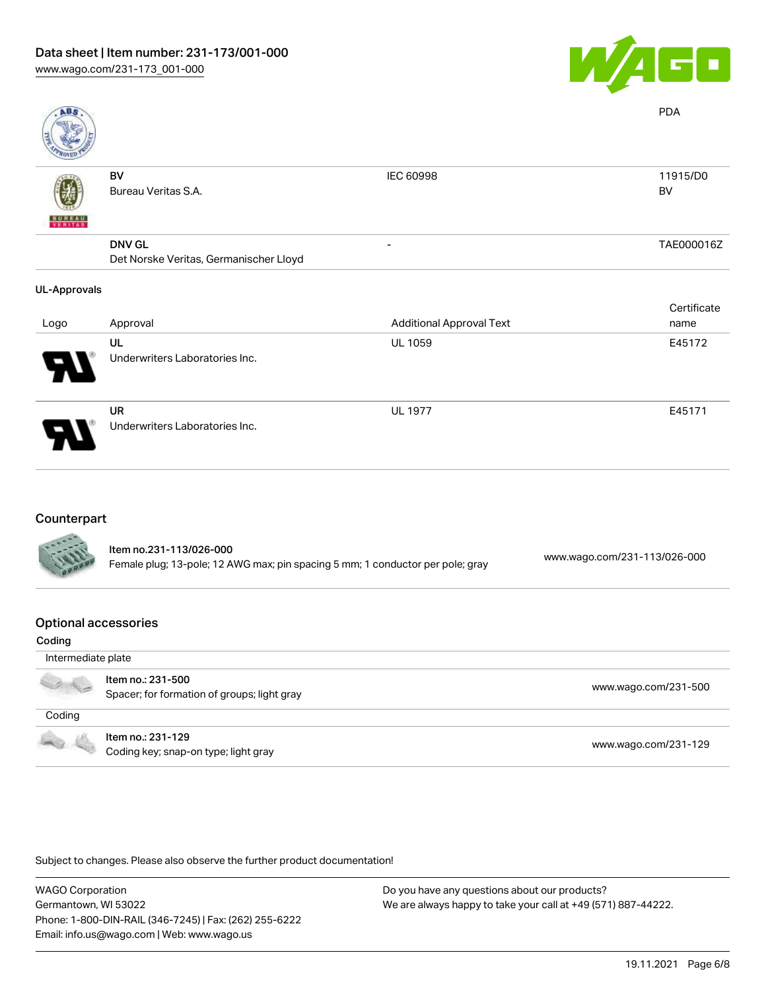

| <b>ABS</b>          |                                        |                                 | <b>PDA</b>     |
|---------------------|----------------------------------------|---------------------------------|----------------|
|                     | BV<br>Bureau Veritas S.A.              | IEC 60998                       | 11915/D0<br>BV |
| <b>WEBLIAS</b>      |                                        |                                 |                |
|                     | <b>DNV GL</b>                          |                                 | TAE000016Z     |
|                     | Det Norske Veritas, Germanischer Lloyd |                                 |                |
| <b>UL-Approvals</b> |                                        |                                 |                |
|                     |                                        |                                 | Certificate    |
| Logo                | Approval                               | <b>Additional Approval Text</b> | name           |
|                     | UL                                     | <b>UL 1059</b>                  | E45172         |
|                     | Underwriters Laboratories Inc.         |                                 |                |
|                     | <b>UR</b>                              | <b>UL 1977</b>                  | E45171         |
|                     | Underwriters Laboratories Inc.         |                                 |                |

#### Counterpart

| <b>ANTES</b> | Item no.231-113/026-000<br>Female plug; 13-pole; 12 AWG max; pin spacing 5 mm; 1 conductor per pole; gray | www.wago.com/231-113/026-000 |
|--------------|-----------------------------------------------------------------------------------------------------------|------------------------------|
|              |                                                                                                           |                              |

#### Optional accessories

| Coding             |                                                                  |                      |
|--------------------|------------------------------------------------------------------|----------------------|
| Intermediate plate |                                                                  |                      |
|                    | Item no.: 231-500<br>Spacer; for formation of groups; light gray | www.wago.com/231-500 |
| Coding             |                                                                  |                      |
|                    | Item no.: 231-129<br>Coding key; snap-on type; light gray        | www.wago.com/231-129 |

Subject to changes. Please also observe the further product documentation!

WAGO Corporation Germantown, WI 53022 Phone: 1-800-DIN-RAIL (346-7245) | Fax: (262) 255-6222 Email: info.us@wago.com | Web: www.wago.us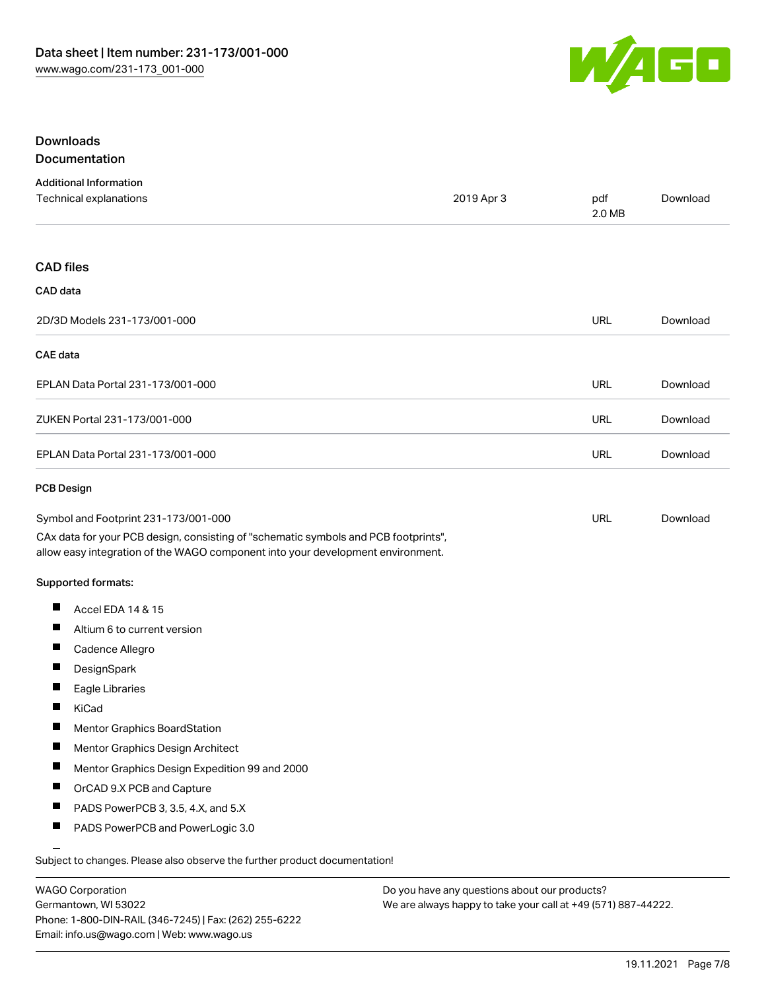

#### Downloads **Documentation**

|  | ---------------- |  |
|--|------------------|--|
|  |                  |  |
|  |                  |  |
|  |                  |  |

| <b>Additional Information</b><br>Technical explanations                                                                                                                                                        | 2019 Apr 3 | pdf<br>2.0 MB | Download |
|----------------------------------------------------------------------------------------------------------------------------------------------------------------------------------------------------------------|------------|---------------|----------|
| <b>CAD files</b>                                                                                                                                                                                               |            |               |          |
| CAD data                                                                                                                                                                                                       |            |               |          |
| 2D/3D Models 231-173/001-000                                                                                                                                                                                   |            | <b>URL</b>    | Download |
| <b>CAE</b> data                                                                                                                                                                                                |            |               |          |
| EPLAN Data Portal 231-173/001-000                                                                                                                                                                              |            | <b>URL</b>    | Download |
| ZUKEN Portal 231-173/001-000                                                                                                                                                                                   |            | <b>URL</b>    | Download |
| EPLAN Data Portal 231-173/001-000                                                                                                                                                                              |            | <b>URL</b>    | Download |
| <b>PCB Design</b>                                                                                                                                                                                              |            |               |          |
| Symbol and Footprint 231-173/001-000<br>CAx data for your PCB design, consisting of "schematic symbols and PCB footprints",<br>allow easy integration of the WAGO component into your development environment. |            | <b>URL</b>    | Download |
| <b>Supported formats:</b>                                                                                                                                                                                      |            |               |          |
| п<br>Accel EDA 14 & 15                                                                                                                                                                                         |            |               |          |
| $\blacksquare$<br>Altium 6 to current version                                                                                                                                                                  |            |               |          |
| $\blacksquare$<br>Cadence Allegro                                                                                                                                                                              |            |               |          |
| Ш<br>DesignSpark                                                                                                                                                                                               |            |               |          |
| $\blacksquare$<br>Eagle Libraries                                                                                                                                                                              |            |               |          |
| H<br>KiCad                                                                                                                                                                                                     |            |               |          |
| Mentor Graphics BoardStation                                                                                                                                                                                   |            |               |          |
| ш<br>Mentor Graphics Design Architect                                                                                                                                                                          |            |               |          |
| Mentor Graphics Design Expedition 99 and 2000<br>Ш                                                                                                                                                             |            |               |          |
| П<br>OrCAD 9.X PCB and Capture                                                                                                                                                                                 |            |               |          |
| ш<br>PADS PowerPCB 3, 3.5, 4.X, and 5.X                                                                                                                                                                        |            |               |          |
| $\blacksquare$<br>PADS PowerPCB and PowerLogic 3.0                                                                                                                                                             |            |               |          |
| Subject to changes. Please also observe the further product documentation!                                                                                                                                     |            |               |          |